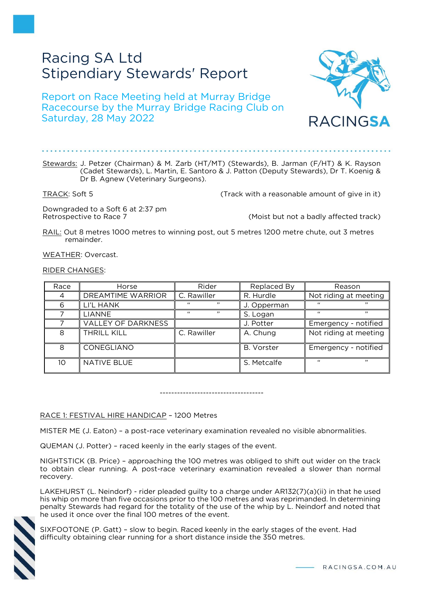# Racing SA Ltd Stipendiary Stewards' Report

Report on Race Meeting held at Murray Bridge Racecourse by the Murray Bridge Racing Club on Saturday, 28 May 2022



TRACK: Soft 5 TRACK: Soft 5 and Soft 5 and Society 2011 (Track with a reasonable amount of give in it)

Downgraded to a Soft 6 at 2:37 pm

Retrospective to Race 7 (Moist but not a badly affected track)

CINGSA

RAIL: Out 8 metres 1000 metres to winning post, out 5 metres 1200 metre chute, out 3 metres remainder.

WEATHER: Overcast.

RIDER CHANGES:

| Race           | Horse                     | Rider                | Replaced By       | Reason                |
|----------------|---------------------------|----------------------|-------------------|-----------------------|
| $\overline{A}$ | <b>DREAMTIME WARRIOR</b>  | C. Rawiller          | R. Hurdle         | Not riding at meeting |
| 6              | LI'L HANK                 | $, \,$<br>$\epsilon$ | J. Opperman       | 66                    |
|                | <b>LIANNE</b>             | $\epsilon$           | S. Logan          | , ,<br>$\epsilon$     |
|                | <b>VALLEY OF DARKNESS</b> |                      | J. Potter         | Emergency - notified  |
| 8              | THRILL KILL               | C. Rawiller          | A. Chung          | Not riding at meeting |
| 8              | CONEGLIANO                |                      | <b>B.</b> Vorster | Emergency - notified  |
| 10             | <b>NATIVE BLUE</b>        |                      | S. Metcalfe       | $\epsilon$            |

------------------------------------

RACE 1: FESTIVAL HIRE HANDICAP – 1200 Metres

MISTER ME (J. Eaton) – a post-race veterinary examination revealed no visible abnormalities.

QUEMAN (J. Potter) – raced keenly in the early stages of the event.

NIGHTSTICK (B. Price) – approaching the 100 metres was obliged to shift out wider on the track to obtain clear running. A post-race veterinary examination revealed a slower than normal recovery.

LAKEHURST (L. Neindorf) - rider pleaded guilty to a charge under AR132(7)(a)(ii) in that he used his whip on more than five occasions prior to the 100 metres and was reprimanded. In determining penalty Stewards had regard for the totality of the use of the whip by L. Neindorf and noted that he used it once over the final 100 metres of the event.



SIXFOOTONE (P. Gatt) – slow to begin. Raced keenly in the early stages of the event. Had difficulty obtaining clear running for a short distance inside the 350 metres.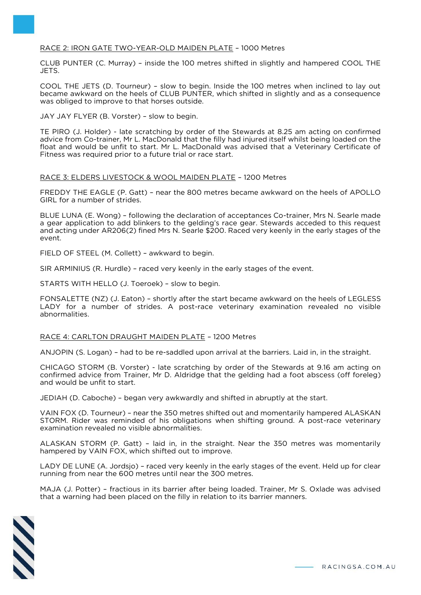## RACE 2: IRON GATE TWO-YEAR-OLD MAIDEN PLATE – 1000 Metres

CLUB PUNTER (C. Murray) – inside the 100 metres shifted in slightly and hampered COOL THE JETS.

COOL THE JETS (D. Tourneur) – slow to begin. Inside the 100 metres when inclined to lay out became awkward on the heels of CLUB PUNTER, which shifted in slightly and as a consequence was obliged to improve to that horses outside.

JAY JAY FLYER (B. Vorster) – slow to begin.

TE PIRO (J. Holder) - late scratching by order of the Stewards at 8.25 am acting on confirmed advice from Co-trainer, Mr L. MacDonald that the filly had injured itself whilst being loaded on the float and would be unfit to start. Mr L. MacDonald was advised that a Veterinary Certificate of Fitness was required prior to a future trial or race start.

## RACE 3: ELDERS LIVESTOCK & WOOL MAIDEN PLATE – 1200 Metres

FREDDY THE EAGLE (P. Gatt) – near the 800 metres became awkward on the heels of APOLLO GIRL for a number of strides.

BLUE LUNA (E. Wong) – following the declaration of acceptances Co-trainer, Mrs N. Searle made a gear application to add blinkers to the gelding's race gear. Stewards acceded to this request and acting under AR206(2) fined Mrs N. Searle \$200. Raced very keenly in the early stages of the event.

FIELD OF STEEL (M. Collett) – awkward to begin.

SIR ARMINIUS (R. Hurdle) – raced very keenly in the early stages of the event.

STARTS WITH HELLO (J. Toeroek) – slow to begin.

FONSALETTE (NZ) (J. Eaton) – shortly after the start became awkward on the heels of LEGLESS LADY for a number of strides. A post-race veterinary examination revealed no visible abnormalities.

RACE 4: CARLTON DRAUGHT MAIDEN PLATE – 1200 Metres

ANJOPIN (S. Logan) – had to be re-saddled upon arrival at the barriers. Laid in, in the straight.

CHICAGO STORM (B. Vorster) - late scratching by order of the Stewards at 9.16 am acting on confirmed advice from Trainer, Mr D. Aldridge that the gelding had a foot abscess (off foreleg) and would be unfit to start.

JEDIAH (D. Caboche) – began very awkwardly and shifted in abruptly at the start.

VAIN FOX (D. Tourneur) – near the 350 metres shifted out and momentarily hampered ALASKAN STORM. Rider was reminded of his obligations when shifting ground. A post-race veterinary examination revealed no visible abnormalities.

ALASKAN STORM (P. Gatt) – laid in, in the straight. Near the 350 metres was momentarily hampered by VAIN FOX, which shifted out to improve.

LADY DE LUNE (A. Jordsjo) – raced very keenly in the early stages of the event. Held up for clear running from near the 600 metres until near the 300 metres.

MAJA (J. Potter) – fractious in its barrier after being loaded. Trainer, Mr S. Oxlade was advised that a warning had been placed on the filly in relation to its barrier manners.

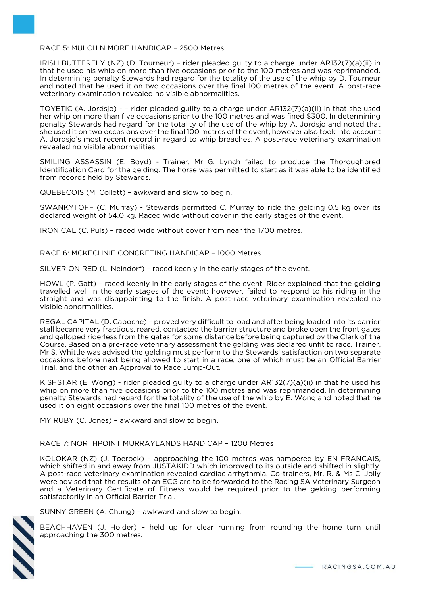## RACE 5: MULCH N MORE HANDICAP – 2500 Metres

IRISH BUTTERFLY (NZ) (D. Tourneur) – rider pleaded guilty to a charge under AR132(7)(a)(ii) in that he used his whip on more than five occasions prior to the 100 metres and was reprimanded. In determining penalty Stewards had regard for the totality of the use of the whip by D. Tourneur and noted that he used it on two occasions over the final 100 metres of the event. A post-race veterinary examination revealed no visible abnormalities.

TOYETIC (A. Jordsjo) - – rider pleaded guilty to a charge under AR132(7)(a)(ii) in that she used her whip on more than five occasions prior to the 100 metres and was fined \$300. In determining penalty Stewards had regard for the totality of the use of the whip by A. Jordsjo and noted that she used it on two occasions over the final 100 metres of the event, however also took into account A. Jordsjo's most recent record in regard to whip breaches. A post-race veterinary examination revealed no visible abnormalities.

SMILING ASSASSIN (E. Boyd) - Trainer, Mr G. Lynch failed to produce the Thoroughbred Identification Card for the gelding. The horse was permitted to start as it was able to be identified from records held by Stewards.

QUEBECOIS (M. Collett) – awkward and slow to begin.

SWANKYTOFF (C. Murray) - Stewards permitted C. Murray to ride the gelding 0.5 kg over its declared weight of 54.0 kg. Raced wide without cover in the early stages of the event.

IRONICAL (C. Puls) – raced wide without cover from near the 1700 metres.

## RACE 6: MCKECHNIE CONCRETING HANDICAP – 1000 Metres

SILVER ON RED (L. Neindorf) – raced keenly in the early stages of the event.

HOWL (P. Gatt) – raced keenly in the early stages of the event. Rider explained that the gelding travelled well in the early stages of the event; however, failed to respond to his riding in the straight and was disappointing to the finish. A post-race veterinary examination revealed no visible abnormalities.

REGAL CAPITAL (D. Caboche) – proved very difficult to load and after being loaded into its barrier stall became very fractious, reared, contacted the barrier structure and broke open the front gates and galloped riderless from the gates for some distance before being captured by the Clerk of the Course. Based on a pre-race veterinary assessment the gelding was declared unfit to race. Trainer, Mr S. Whittle was advised the gelding must perform to the Stewards' satisfaction on two separate occasions before next being allowed to start in a race, one of which must be an Official Barrier Trial, and the other an Approval to Race Jump-Out.

KISHSTAR (E. Wong) - rider pleaded guilty to a charge under AR132(7)(a)(ii) in that he used his whip on more than five occasions prior to the 100 metres and was reprimanded. In determining penalty Stewards had regard for the totality of the use of the whip by E. Wong and noted that he used it on eight occasions over the final 100 metres of the event.

MY RUBY (C. Jones) – awkward and slow to begin.

# RACE 7: NORTHPOINT MURRAYLANDS HANDICAP – 1200 Metres

KOLOKAR (NZ) (J. Toeroek) – approaching the 100 metres was hampered by EN FRANCAIS, which shifted in and away from JUSTAKIDD which improved to its outside and shifted in slightly. A post-race veterinary examination revealed cardiac arrhythmia. Co-trainers, Mr. R. & Ms C. Jolly were advised that the results of an ECG are to be forwarded to the Racing SA Veterinary Surgeon and a Veterinary Certificate of Fitness would be required prior to the gelding performing satisfactorily in an Official Barrier Trial.

SUNNY GREEN (A. Chung) – awkward and slow to begin.

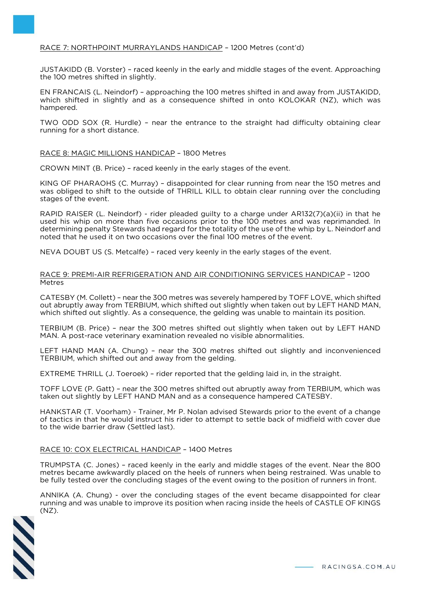# RACE 7: NORTHPOINT MURRAYLANDS HANDICAP – 1200 Metres (cont'd)

JUSTAKIDD (B. Vorster) – raced keenly in the early and middle stages of the event. Approaching the 100 metres shifted in slightly.

EN FRANCAIS (L. Neindorf) – approaching the 100 metres shifted in and away from JUSTAKIDD, which shifted in slightly and as a consequence shifted in onto KOLOKAR (NZ), which was hampered.

TWO ODD SOX (R. Hurdle) – near the entrance to the straight had difficulty obtaining clear running for a short distance.

#### RACE 8: MAGIC MILLIONS HANDICAP – 1800 Metres

CROWN MINT (B. Price) – raced keenly in the early stages of the event.

KING OF PHARAOHS (C. Murray) – disappointed for clear running from near the 150 metres and was obliged to shift to the outside of THRILL KILL to obtain clear running over the concluding stages of the event.

RAPID RAISER (L. Neindorf) - rider pleaded guilty to a charge under AR132(7)(a)(ii) in that he used his whip on more than five occasions prior to the 100 metres and was reprimanded. In determining penalty Stewards had regard for the totality of the use of the whip by L. Neindorf and noted that he used it on two occasions over the final 100 metres of the event.

NEVA DOUBT US (S. Metcalfe) – raced very keenly in the early stages of the event.

#### RACE 9: PREMI-AIR REFRIGERATION AND AIR CONDITIONING SERVICES HANDICAP – 1200 Metres

CATESBY (M. Collett) – near the 300 metres was severely hampered by TOFF LOVE, which shifted out abruptly away from TERBIUM, which shifted out slightly when taken out by LEFT HAND MAN, which shifted out slightly. As a consequence, the gelding was unable to maintain its position.

TERBIUM (B. Price) – near the 300 metres shifted out slightly when taken out by LEFT HAND MAN. A post-race veterinary examination revealed no visible abnormalities.

LEFT HAND MAN (A. Chung) – near the 300 metres shifted out slightly and inconvenienced TERBIUM, which shifted out and away from the gelding.

EXTREME THRILL (J. Toeroek) – rider reported that the gelding laid in, in the straight.

TOFF LOVE (P. Gatt) – near the 300 metres shifted out abruptly away from TERBIUM, which was taken out slightly by LEFT HAND MAN and as a consequence hampered CATESBY.

HANKSTAR (T. Voorham) - Trainer, Mr P. Nolan advised Stewards prior to the event of a change of tactics in that he would instruct his rider to attempt to settle back of midfield with cover due to the wide barrier draw (Settled last).

# RACE 10: COX ELECTRICAL HANDICAP – 1400 Metres

TRUMPSTA (C. Jones) – raced keenly in the early and middle stages of the event. Near the 800 metres became awkwardly placed on the heels of runners when being restrained. Was unable to be fully tested over the concluding stages of the event owing to the position of runners in front.

ANNIKA (A. Chung) - over the concluding stages of the event became disappointed for clear running and was unable to improve its position when racing inside the heels of CASTLE OF KINGS (NZ).

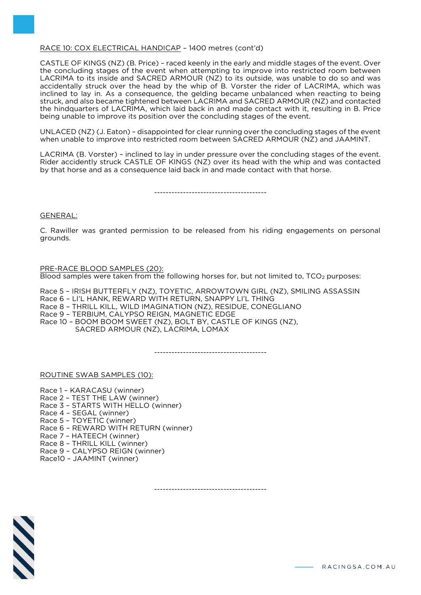# RACE 10: COX ELECTRICAL HANDICAP – 1400 metres (cont'd)

CASTLE OF KINGS (NZ) (B. Price) – raced keenly in the early and middle stages of the event. Over the concluding stages of the event when attempting to improve into restricted room between LACRIMA to its inside and SACRED ARMOUR (NZ) to its outside, was unable to do so and was accidentally struck over the head by the whip of B. Vorster the rider of LACRIMA, which was inclined to lay in. As a consequence, the gelding became unbalanced when reacting to being struck, and also became tightened between LACRIMA and SACRED ARMOUR (NZ) and contacted the hindquarters of LACRIMA, which laid back in and made contact with it, resulting in B. Price being unable to improve its position over the concluding stages of the event.

UNLACED (NZ) (J. Eaton) – disappointed for clear running over the concluding stages of the event when unable to improve into restricted room between SACRED ARMOUR (NZ) and JAAMINT.

LACRIMA (B. Vorster) – inclined to lay in under pressure over the concluding stages of the event. Rider accidently struck CASTLE OF KINGS (NZ) over its head with the whip and was contacted by that horse and as a consequence laid back in and made contact with that horse.

---------------------------------------

#### GENERAL:

C. Rawiller was granted permission to be released from his riding engagements on personal grounds.

#### PRE-RACE BLOOD SAMPLES (20): Blood samples were taken from the following horses for, but not limited to, TCO<sub>2</sub> purposes:

Race 5 – IRISH BUTTERFLY (NZ), TOYETIC, ARROWTOWN GIRL (NZ), SMILING ASSASSIN Race 6 – LI'L HANK, REWARD WITH RETURN, SNAPPY LI'L THING Race 8 – THRILL KILL, WILD IMAGINATION (NZ), RESIDUE, CONEGLIANO Race 9 – TERBIUM, CALYPSO REIGN, MAGNETIC EDGE Race 10 – BOOM BOOM SWEET (NZ), BOLT BY, CASTLE OF KINGS (NZ), SACRED ARMOUR (NZ), LACRIMA, LOMAX

---------------------------------------

ROUTINE SWAB SAMPLES (10):

Race 1 – KARACASU (winner)

- Race 2 TEST THE LAW (winner) Race 3 – STARTS WITH HELLO (winner)
- Race 4 SEGAL (winner)
- Race 5 TOYETIC (winner)
- Race 6 REWARD WITH RETURN (winner)
- Race 7 HATEECH (winner)
- Race 8 THRILL KILL (winner)
- Race 9 CALYPSO REIGN (winner)
- Race10 JAAMINT (winner)

---------------------------------------